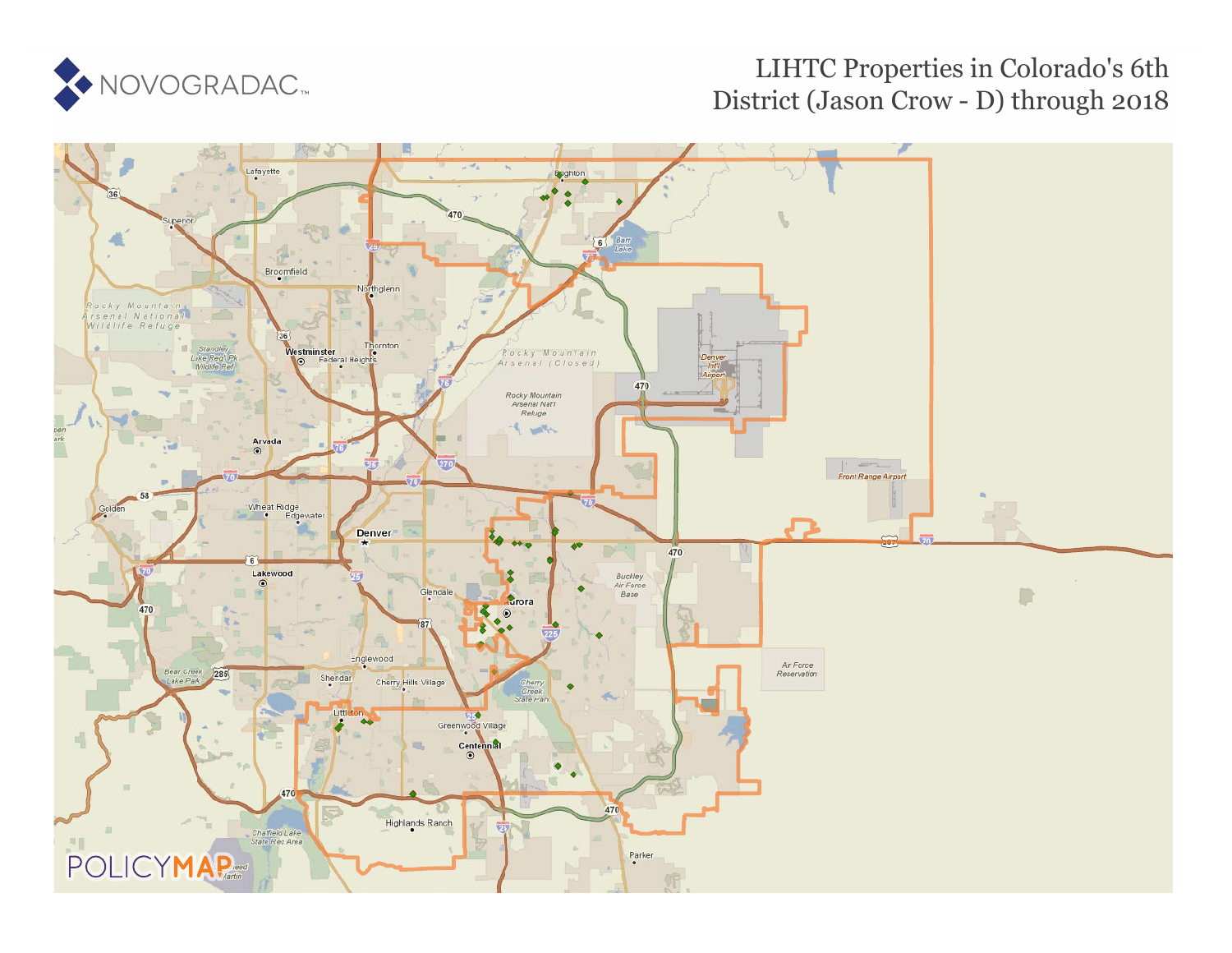

## LIHTC Properties in Colorado's 6th District (Jason Crow - D) through 2018

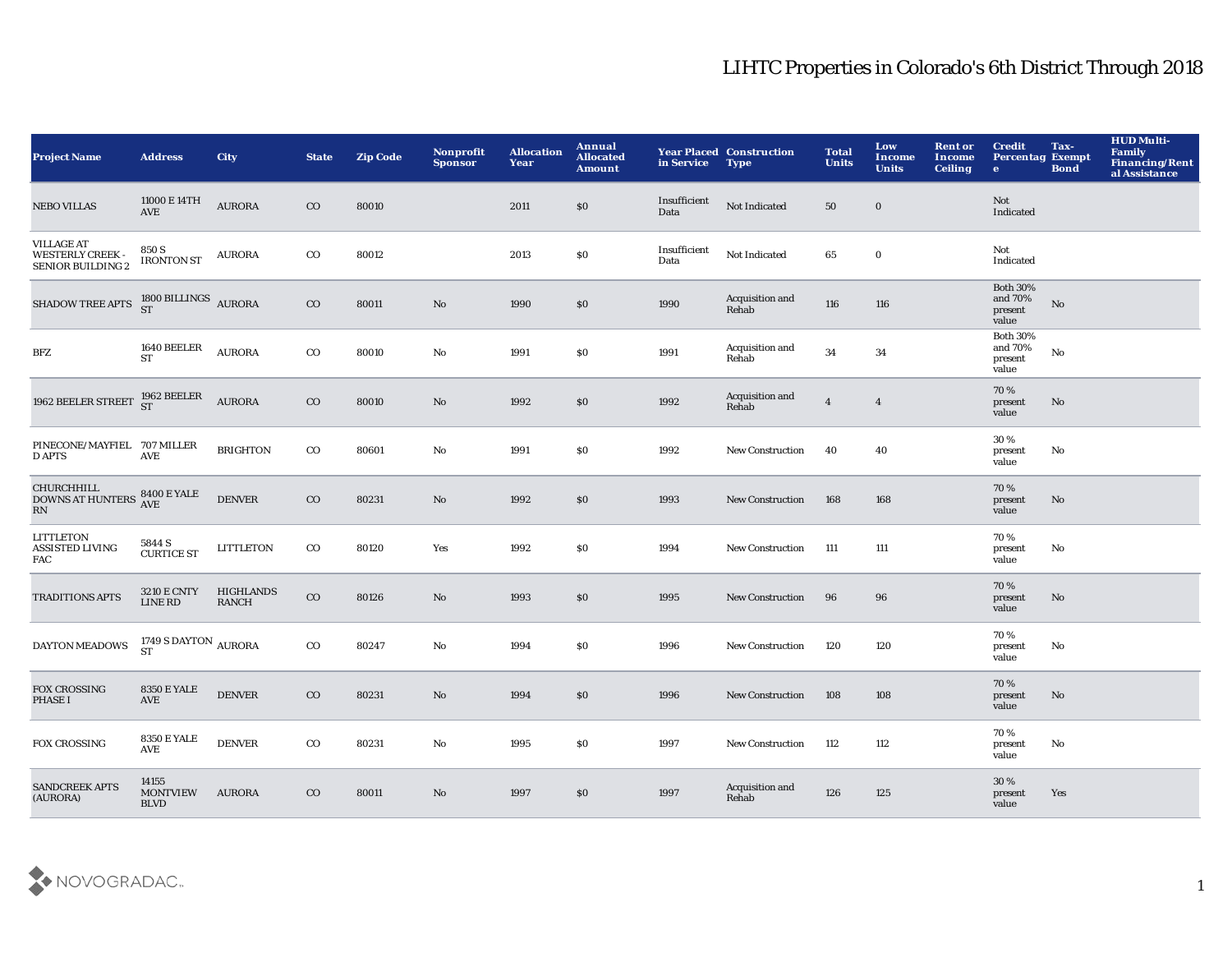| <b>Project Name</b>                                                      | <b>Address</b>                          | City                      | <b>State</b> | <b>Zip Code</b> | Nonprofit<br><b>Sponsor</b> | <b>Allocation</b><br>Year | Annual<br><b>Allocated</b><br><b>Amount</b> | in Service           | <b>Year Placed Construction</b><br><b>Type</b> | <b>Total</b><br><b>Units</b> | Low<br>Income<br><b>Units</b> | <b>Rent or</b><br><b>Income</b><br><b>Ceiling</b> | <b>Credit</b><br><b>Percentag Exempt</b><br>$\bullet$ | Tax-<br><b>Bond</b> | <b>HUD Multi-</b><br>Family<br>Financing/Rent<br>al Assistance |
|--------------------------------------------------------------------------|-----------------------------------------|---------------------------|--------------|-----------------|-----------------------------|---------------------------|---------------------------------------------|----------------------|------------------------------------------------|------------------------------|-------------------------------|---------------------------------------------------|-------------------------------------------------------|---------------------|----------------------------------------------------------------|
| <b>NEBO VILLAS</b>                                                       | 11000 E 14TH<br><b>AVE</b>              | <b>AURORA</b>             | $\rm{CO}$    | 80010           |                             | 2011                      | $\$0$                                       | Insufficient<br>Data | Not Indicated                                  | 50                           | $\bf{0}$                      |                                                   | <b>Not</b><br>Indicated                               |                     |                                                                |
| <b>VILLAGE AT</b><br><b>WESTERLY CREEK -</b><br><b>SENIOR BUILDING 2</b> | 850 S<br>${\rm IRONTON}$ ST             | <b>AURORA</b>             | $_{\rm CO}$  | 80012           |                             | 2013                      | $\$0$                                       | Insufficient<br>Data | Not Indicated                                  | 65                           | $\boldsymbol{0}$              |                                                   | Not<br>Indicated                                      |                     |                                                                |
| SHADOW TREE APTS 1800 BILLINGS AURORA                                    |                                         |                           | $_{\rm CO}$  | 80011           | $\rm\thinspace No$          | 1990                      | \$0                                         | 1990                 | Acquisition and<br>Rehab                       | 116                          | 116                           |                                                   | <b>Both 30%</b><br>and $70\%$<br>present<br>value     | No                  |                                                                |
| BFZ                                                                      | 1640 BEELER<br><b>ST</b>                | <b>AURORA</b>             | $_{\rm CO}$  | 80010           | No                          | 1991                      | $\$0$                                       | 1991                 | Acquisition and<br>Rehab                       | 34                           | 34                            |                                                   | <b>Both 30%</b><br>and 70%<br>present<br>value        | $\mathbf {No}$      |                                                                |
| 1962 BEELER STREET $^{1962}_{\rm ST}$ BEELER                             |                                         | <b>AURORA</b>             | $_{\rm CO}$  | 80010           | No                          | 1992                      | $\$0$                                       | 1992                 | Acquisition and<br>Rehab                       | $\overline{4}$               | $\overline{4}$                |                                                   | 70%<br>present<br>value                               | No                  |                                                                |
| PINECONE/MAYFIEL 707 MILLER<br><b>D APTS</b>                             | AVE                                     | <b>BRIGHTON</b>           | $_{\rm CO}$  | 80601           | $\mathbf{N}\mathbf{o}$      | 1991                      | \$0\$                                       | 1992                 | New Construction                               | 40                           | 40                            |                                                   | 30%<br>present<br>value                               | No                  |                                                                |
| <b>CHURCHHILL</b><br><b>DOWNS AT HUNTERS</b><br>RN                       | <b>8400 E YALE</b><br><b>AVE</b>        | <b>DENVER</b>             | $\rm{CO}$    | 80231           | No                          | 1992                      | $\$0$                                       | 1993                 | <b>New Construction</b>                        | 168                          | 168                           |                                                   | 70%<br>present<br>value                               | No                  |                                                                |
| LITTLETON<br><b>ASSISTED LIVING</b><br><b>FAC</b>                        | 5844 S<br><b>CURTICE ST</b>             | <b>LITTLETON</b>          | $_{\rm CO}$  | 80120           | Yes                         | 1992                      | S <sub>0</sub>                              | 1994                 | New Construction                               | 111                          | 111                           |                                                   | 70%<br>present<br>value                               | No                  |                                                                |
| <b>TRADITIONS APTS</b>                                                   | <b>3210 E CNTY</b><br><b>LINE RD</b>    | HIGHLANDS<br><b>RANCH</b> | $_{\rm CO}$  | 80126           | $\mathbf{N}\mathbf{o}$      | 1993                      | \$0\$                                       | 1995                 | <b>New Construction</b>                        | 96                           | 96                            |                                                   | 70%<br>present<br>value                               | No                  |                                                                |
| <b>DAYTON MEADOWS</b>                                                    | 1749 S DAYTON $\,$ AURORA ST            |                           | $_{\rm CO}$  | 80247           | $\mathbf{N}\mathbf{o}$      | 1994                      | $\$0$                                       | 1996                 | <b>New Construction</b>                        | 120                          | 120                           |                                                   | 70%<br>present<br>value                               | No                  |                                                                |
| <b>FOX CROSSING</b><br><b>PHASE I</b>                                    | <b>8350 E YALE</b><br>AVE               | <b>DENVER</b>             | $\rm{CO}$    | 80231           | No                          | 1994                      | $\$0$                                       | 1996                 | <b>New Construction</b>                        | 108                          | 108                           |                                                   | 70%<br>present<br>value                               | No                  |                                                                |
| <b>FOX CROSSING</b>                                                      | <b>8350 E YALE</b><br><b>AVE</b>        | <b>DENVER</b>             | $_{\rm CO}$  | 80231           | No                          | 1995                      | S <sub>0</sub>                              | 1997                 | <b>New Construction</b>                        | 112                          | 112                           |                                                   | 70%<br>present<br>value                               | No                  |                                                                |
| <b>SANDCREEK APTS</b><br>(AURORA)                                        | 14155<br><b>MONTVIEW</b><br><b>BLVD</b> | <b>AURORA</b>             | $\rm{CO}$    | 80011           | No                          | 1997                      | \$0                                         | 1997                 | Acquisition and<br>Rehab                       | 126                          | 125                           |                                                   | 30%<br>present<br>value                               | Yes                 |                                                                |

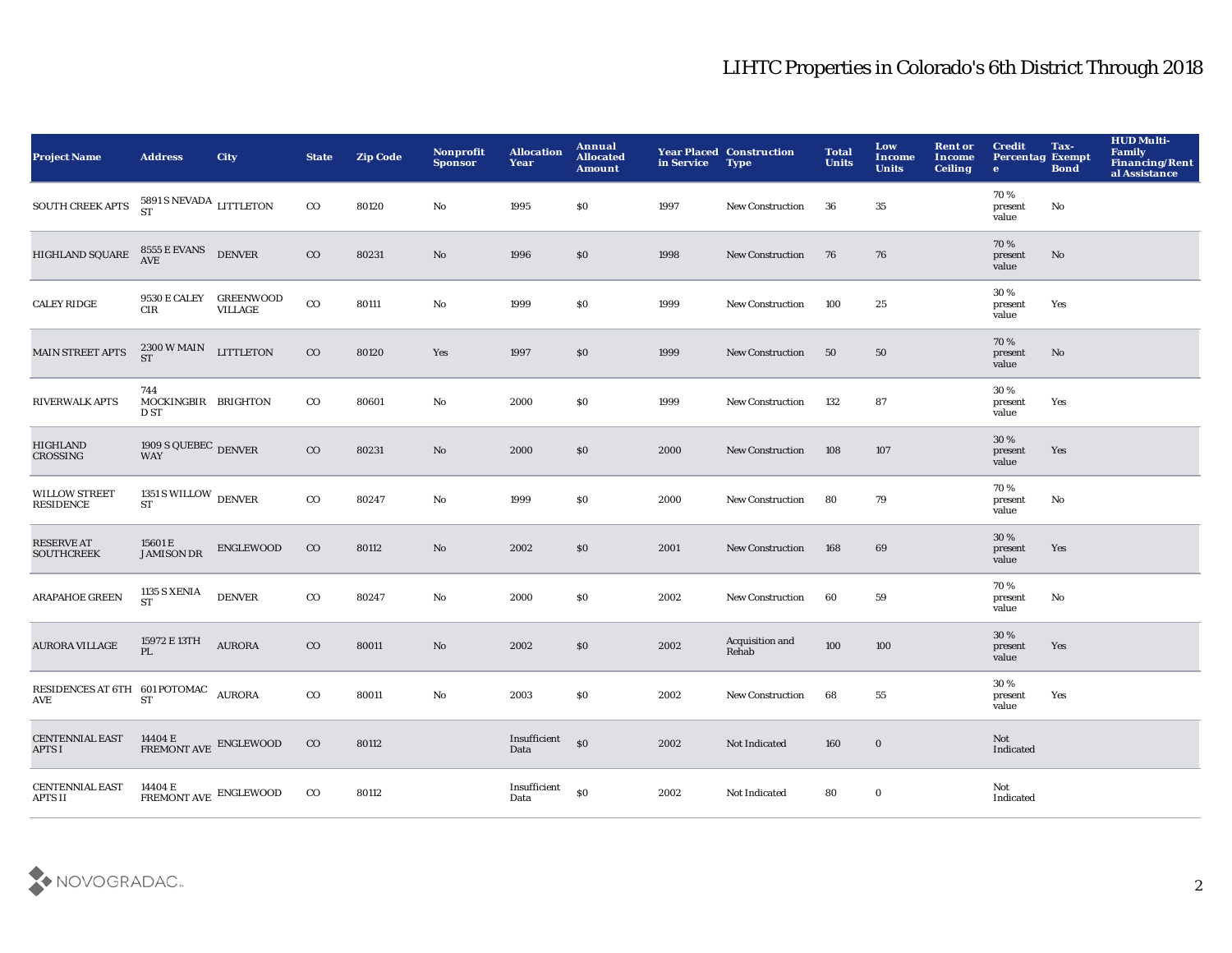| <b>Project Name</b>                                                   | <b>Address</b>                                                                                                          | <b>City</b>   | <b>State</b> | <b>Zip Code</b> | <b>Nonprofit</b><br><b>Sponsor</b> | <b>Allocation</b><br>Year | <b>Annual</b><br><b>Allocated</b><br><b>Amount</b> | in Service | <b>Year Placed Construction</b><br><b>Type</b> | <b>Total</b><br><b>Units</b> | Low<br><b>Income</b><br><b>Units</b> | <b>Rent or</b><br><b>Income</b><br><b>Ceiling</b> | <b>Credit</b><br><b>Percentag Exempt</b><br>$\bullet$ | Tax-<br><b>Bond</b> | <b>HUD Multi-</b><br><b>Family</b><br>Financing/Rent<br>al Assistance |
|-----------------------------------------------------------------------|-------------------------------------------------------------------------------------------------------------------------|---------------|--------------|-----------------|------------------------------------|---------------------------|----------------------------------------------------|------------|------------------------------------------------|------------------------------|--------------------------------------|---------------------------------------------------|-------------------------------------------------------|---------------------|-----------------------------------------------------------------------|
| SOUTH CREEK APTS                                                      | $5891$ S NEVADA LITTLETON $_{\rm ST}$                                                                                   |               | $_{\rm CO}$  | 80120           | No                                 | 1995                      | \$0                                                | 1997       | <b>New Construction</b>                        | 36                           | 35                                   |                                                   | 70%<br>present<br>value                               | No                  |                                                                       |
| HIGHLAND SQUARE                                                       | ${\small \begin{array}{ll} 8555 \text{ E EVANS} \\ \text{AVE} \end{array}} \begin{array}{ll} \text{DENVER} \end{array}$ |               | $\rm{CO}$    | 80231           | No                                 | 1996                      | \$0                                                | 1998       | New Construction                               | 76                           | 76                                   |                                                   | 70%<br>present<br>value                               | No                  |                                                                       |
| <b>CALEY RIDGE</b>                                                    | 9530 E CALEY GREENWOOD<br>CIR                                                                                           | VILLAGE       | $_{\rm CO}$  | 80111           | $\mathbf {No}$                     | 1999                      | \$0                                                | 1999       | New Construction                               | 100                          | $\bf 25$                             |                                                   | 30%<br>present<br>value                               | Yes                 |                                                                       |
| <b>MAIN STREET APTS</b>                                               | $2300\,\mathrm{W}\,\mathrm{MAIN}$ LITTLETON<br><b>ST</b>                                                                |               | $_{\rm CO}$  | 80120           | Yes                                | 1997                      | \$0                                                | 1999       | New Construction                               | 50                           | 50                                   |                                                   | 70%<br>present<br>value                               | No                  |                                                                       |
| <b>RIVERWALK APTS</b>                                                 | 744<br>MOCKINGBIR BRIGHTON<br>D ST                                                                                      |               | $_{\rm CO}$  | 80601           | No                                 | 2000                      | \$0                                                | 1999       | New Construction                               | 132                          | 87                                   |                                                   | 30%<br>present<br>value                               | Yes                 |                                                                       |
| <b>HIGHLAND</b><br>CROSSING                                           | $1909$ S QUEBEC $\,$ DENVER WAY                                                                                         |               | $\rm{CO}$    | 80231           | No                                 | 2000                      | \$0                                                | 2000       | New Construction                               | 108                          | 107                                  |                                                   | 30 %<br>present<br>value                              | Yes                 |                                                                       |
| <b>WILLOW STREET</b><br>RESIDENCE                                     | 1351 S WILLOW $_{\rm DENVER}$<br><b>ST</b>                                                                              |               | $_{\rm CO}$  | 80247           | $\rm No$                           | 1999                      | \$0                                                | 2000       | <b>New Construction</b>                        | 80                           | 79                                   |                                                   | 70%<br>present<br>value                               | No                  |                                                                       |
| <b>RESERVE AT</b><br><b>SOUTHCREEK</b>                                | 15601 E<br><b>JAMISON DR</b>                                                                                            | ENGLEWOOD     | $_{\rm CO}$  | 80112           | No                                 | 2002                      | \$0                                                | 2001       | New Construction                               | 168                          | 69                                   |                                                   | 30 %<br>present<br>value                              | Yes                 |                                                                       |
| <b>ARAPAHOE GREEN</b>                                                 | <b>1135 S XENIA</b><br><b>ST</b>                                                                                        | <b>DENVER</b> | $_{\rm CO}$  | 80247           | $\mathbf{No}$                      | 2000                      | \$0                                                | 2002       | <b>New Construction</b>                        | 60                           | 59                                   |                                                   | 70%<br>present<br>value                               | No                  |                                                                       |
| <b>AURORA VILLAGE</b>                                                 | 15972 E 13TH<br>PL                                                                                                      | <b>AURORA</b> | $_{\rm CO}$  | 80011           | $\mathbf{N}\mathbf{o}$             | 2002                      | \$0                                                | 2002       | Acquisition and<br>Rehab                       | 100                          | 100                                  |                                                   | 30 %<br>present<br>value                              | Yes                 |                                                                       |
| RESIDENCES AT 6TH 601 POTOMAC AURORA<br>$\operatorname{\mathbf{AVE}}$ | <b>ST</b>                                                                                                               |               | $_{\rm CO}$  | 80011           | $\mathbf{No}$                      | 2003                      | \$0                                                | 2002       | New Construction                               | 68                           | 55                                   |                                                   | 30%<br>present<br>value                               | Yes                 |                                                                       |
| <b>CENTENNIAL EAST</b><br><b>APTS I</b>                               | $14404$ E $$\,$ ENGLEWOOD $$\,$ FREMONT AVE $\,$ ENGLEWOOD                                                              |               | $_{\rm CO}$  | 80112           |                                    | Insufficient<br>Data      | $\mathbf{S}$                                       | 2002       | Not Indicated                                  | 160                          | $\bf{0}$                             |                                                   | Not<br>Indicated                                      |                     |                                                                       |
| <b>CENTENNIAL EAST</b><br>APTS II                                     | 14404 E<br>FREMONT AVE ENGLEWOOD                                                                                        |               | $_{\rm CO}$  | 80112           |                                    | Insufficient<br>Data      | \$0                                                | 2002       | Not Indicated                                  | 80                           | $\bf{0}$                             |                                                   | Not<br>Indicated                                      |                     |                                                                       |

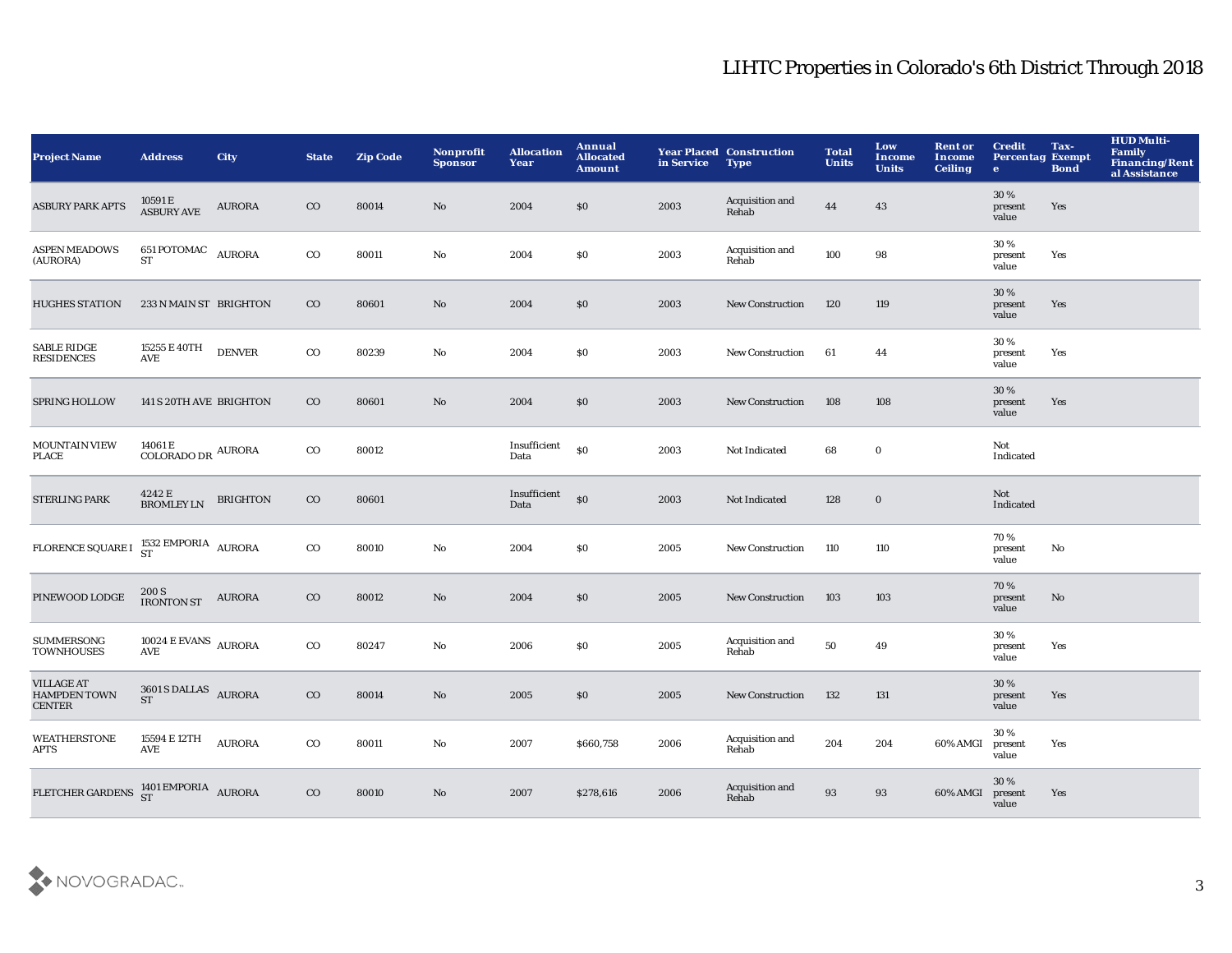| <b>Project Name</b>                                       | <b>Address</b>                                                                                            | <b>City</b>     | <b>State</b> | <b>Zip Code</b> | Nonprofit<br><b>Sponsor</b> | <b>Allocation</b><br>Year | Annual<br><b>Allocated</b><br><b>Amount</b> | in Service | <b>Year Placed Construction</b><br><b>Type</b> | <b>Total</b><br><b>Units</b> | Low<br>Income<br><b>Units</b> | <b>Rent or</b><br>Income<br><b>Ceiling</b> | <b>Credit</b><br><b>Percentag Exempt</b><br>$\mathbf{e}$ | Tax-<br><b>Bond</b> | <b>HUD Multi-</b><br>Family<br>Financing/Rent<br>al Assistance |
|-----------------------------------------------------------|-----------------------------------------------------------------------------------------------------------|-----------------|--------------|-----------------|-----------------------------|---------------------------|---------------------------------------------|------------|------------------------------------------------|------------------------------|-------------------------------|--------------------------------------------|----------------------------------------------------------|---------------------|----------------------------------------------------------------|
| <b>ASBURY PARK APTS</b>                                   | 10591 E<br>ASBURY AVE                                                                                     | <b>AURORA</b>   | $_{\rm CO}$  | 80014           | No                          | 2004                      | $\$0$                                       | 2003       | Acquisition and<br>Rehab                       | 44                           | 43                            |                                            | 30%<br>present<br>value                                  | Yes                 |                                                                |
| <b>ASPEN MEADOWS</b><br>(AURORA)                          | 651 POTOMAC AURORA<br>ST                                                                                  |                 | $_{\rm CO}$  | 80011           | $\mathbf {No}$              | 2004                      | \$0                                         | 2003       | Acquisition and<br>Rehab                       | 100                          | 98                            |                                            | 30%<br>present<br>value                                  | Yes                 |                                                                |
| <b>HUGHES STATION</b>                                     | 233 N MAIN ST BRIGHTON                                                                                    |                 | $_{\rm CO}$  | 80601           | No                          | 2004                      | \$0                                         | 2003       | <b>New Construction</b>                        | 120                          | 119                           |                                            | 30 %<br>present<br>value                                 | Yes                 |                                                                |
| <b>SABLE RIDGE</b><br><b>RESIDENCES</b>                   | 15255 E 40TH<br><b>AVE</b>                                                                                | <b>DENVER</b>   | $_{\rm CO}$  | 80239           | $\mathbf{No}$               | 2004                      | \$0                                         | 2003       | New Construction                               | 61                           | 44                            |                                            | 30%<br>present<br>value                                  | Yes                 |                                                                |
| <b>SPRING HOLLOW</b>                                      | 141 S 20TH AVE BRIGHTON                                                                                   |                 | $_{\rm CO}$  | 80601           | No                          | 2004                      | \$0                                         | 2003       | <b>New Construction</b>                        | 108                          | 108                           |                                            | 30%<br>present<br>value                                  | Yes                 |                                                                |
| MOUNTAIN VIEW<br><b>PLACE</b>                             | 14061 E<br>$\rm COLORADO\,DR$ AURORA                                                                      |                 | $_{\rm CO}$  | 80012           |                             | Insufficient<br>Data      | \$0                                         | 2003       | Not Indicated                                  | 68                           | $\bf{0}$                      |                                            | Not<br>Indicated                                         |                     |                                                                |
| <b>STERLING PARK</b>                                      | $4242\to\hbox{\sc BROMLEY}$ LN                                                                            | <b>BRIGHTON</b> | $_{\rm CO}$  | 80601           |                             | Insufficient<br>Data      | $\boldsymbol{\mathsf{S}}$                   | 2003       | Not Indicated                                  | 128                          | $\mathbf 0$                   |                                            | Not<br>Indicated                                         |                     |                                                                |
| FLORENCE SQUARE I                                         | $1532$ EMPORIA $\,$ AURORA ST                                                                             |                 | $_{\rm CO}$  | 80010           | $\mathbf{No}$               | 2004                      | \$0                                         | 2005       | New Construction                               | 110                          | 110                           |                                            | 70%<br>present<br>value                                  | No                  |                                                                |
| PINEWOOD LODGE                                            | 200 S<br><b>IRONTON ST</b>                                                                                | <b>AURORA</b>   | $_{\rm CO}$  | 80012           | No                          | 2004                      | \$0                                         | 2005       | <b>New Construction</b>                        | 103                          | 103                           |                                            | 70%<br>present<br>value                                  | No                  |                                                                |
| <b>SUMMERSONG</b><br><b>TOWNHOUSES</b>                    | $10024$ E EVANS $\,$ AURORA<br>AVE                                                                        |                 | $_{\rm CO}$  | 80247           | $\mathbf{No}$               | 2006                      | \$0                                         | 2005       | Acquisition and<br>Rehab                       | 50                           | 49                            |                                            | 30%<br>present<br>value                                  | Yes                 |                                                                |
| <b>VILLAGE AT</b><br><b>HAMPDEN TOWN</b><br><b>CENTER</b> | 3601 S DALLAS AURORA<br><b>ST</b>                                                                         |                 | $_{\rm CO}$  | 80014           | No                          | 2005                      | \$0                                         | 2005       | <b>New Construction</b>                        | 132                          | 131                           |                                            | 30 %<br>present<br>value                                 | Yes                 |                                                                |
| <b>WEATHERSTONE</b><br><b>APTS</b>                        | 15594 E 12TH<br>AVE                                                                                       | <b>AURORA</b>   | $_{\rm CO}$  | 80011           | No                          | 2007                      | \$660,758                                   | 2006       | Acquisition and<br>Rehab                       | 204                          | 204                           | 60% AMGI                                   | 30%<br>present<br>value                                  | Yes                 |                                                                |
| FLETCHER GARDENS                                          | $\begin{array}{cc}\n1401 \text{ EMPORIA} \\ ST\n\end{array} \begin{array}{c}\n\text{AURORA}\n\end{array}$ |                 | $_{\rm CO}$  | 80010           | No                          | 2007                      | \$278,616                                   | 2006       | Acquisition and<br>Rehab                       | 93                           | 93                            | 60% AMGI                                   | 30 %<br>present<br>value                                 | Yes                 |                                                                |

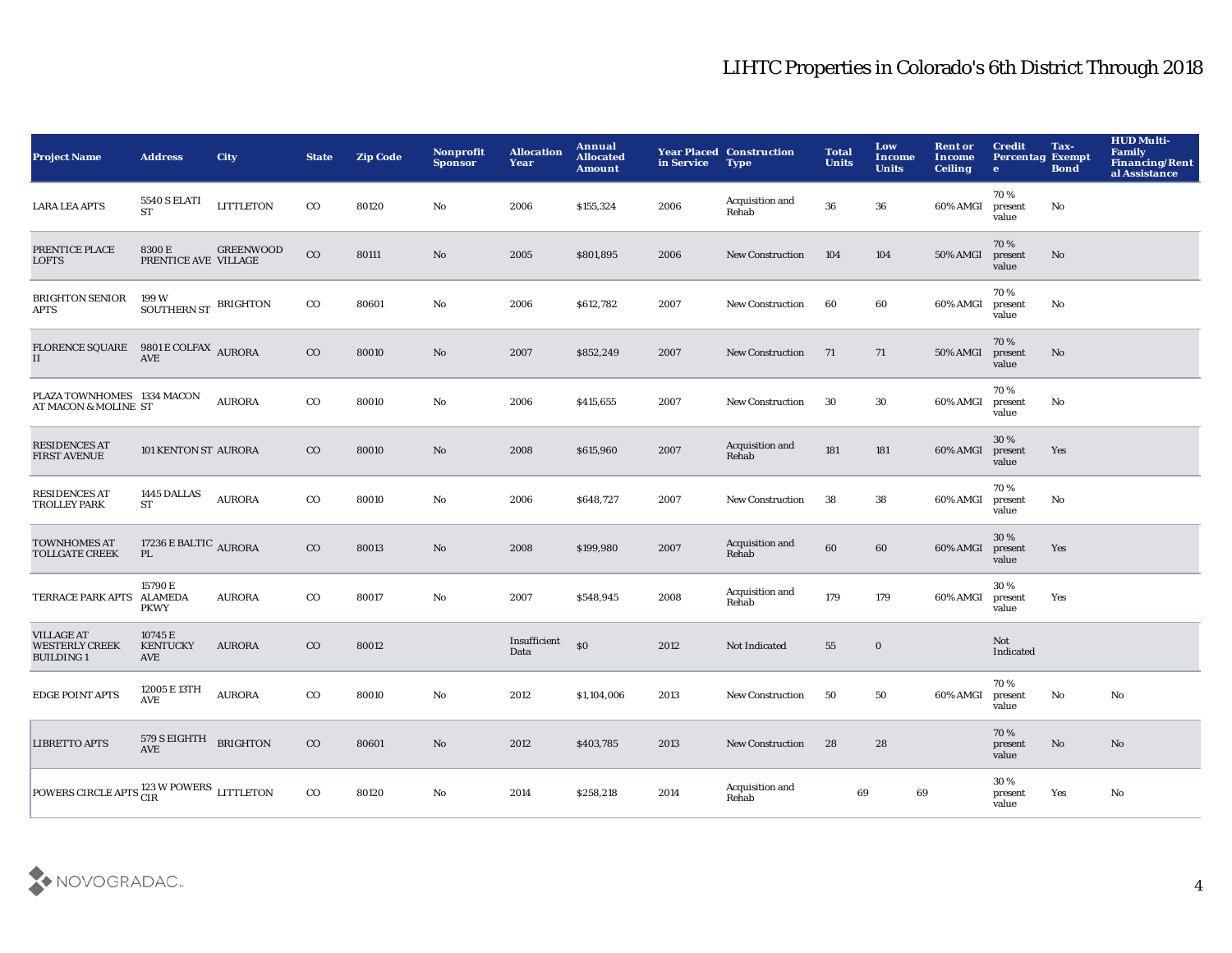| <b>Project Name</b>                                            | <b>Address</b>                           | <b>City</b>      | <b>State</b> | <b>Zip Code</b> | Nonprofit<br><b>Sponsor</b> | <b>Allocation</b><br>Year | <b>Annual</b><br><b>Allocated</b><br><b>Amount</b> | in Service | <b>Year Placed Construction</b><br><b>Type</b> | <b>Total</b><br><b>Units</b> | Low<br><b>Income</b><br><b>Units</b> | <b>Rent or</b><br><b>Income</b><br><b>Ceiling</b> | <b>Credit</b><br><b>Percentag Exempt</b><br>$\bullet$ | Tax-<br><b>Bond</b> | <b>HUD Multi-</b><br>Family<br>Financing/Rent<br>al Assistance |
|----------------------------------------------------------------|------------------------------------------|------------------|--------------|-----------------|-----------------------------|---------------------------|----------------------------------------------------|------------|------------------------------------------------|------------------------------|--------------------------------------|---------------------------------------------------|-------------------------------------------------------|---------------------|----------------------------------------------------------------|
| <b>LARA LEA APTS</b>                                           | <b>5540 S ELATI</b><br><b>ST</b>         | <b>LITTLETON</b> | $_{\rm CO}$  | 80120           | No                          | 2006                      | \$155,324                                          | 2006       | Acquisition and<br>Rehab                       | 36                           | 36                                   | 60% AMGI                                          | 70%<br>present<br>value                               | No                  |                                                                |
| PRENTICE PLACE<br>LOFTS                                        | 8300 E<br>PRENTICE AVE VILLAGE           | <b>GREENWOOD</b> | $_{\rm CO}$  | 80111           | No                          | 2005                      | \$801,895                                          | 2006       | <b>New Construction</b>                        | 104                          | 104                                  | 50% AMGI                                          | 70%<br>present<br>value                               | No                  |                                                                |
| <b>BRIGHTON SENIOR</b><br>APTS                                 | 199 W<br>SOUTHERN ST BRIGHTON            |                  | $_{\rm CO}$  | 80601           | No                          | 2006                      | \$612,782                                          | 2007       | <b>New Construction</b>                        | 60                           | 60                                   | 60% AMGI                                          | 70%<br>present<br>value                               | No                  |                                                                |
| FLORENCE SQUARE 9801 E COLFAX AURORA<br>II                     | <b>AVE</b>                               |                  | $_{\rm CO}$  | 80010           | No                          | 2007                      | \$852,249                                          | 2007       | <b>New Construction</b>                        | 71                           | 71                                   | 50% AMGI                                          | 70%<br>present<br>value                               | No                  |                                                                |
| PLAZA TOWNHOMES 1334 MACON<br>AT MACON & MOLINE ST             |                                          | <b>AURORA</b>    | $_{\rm CO}$  | 80010           | No                          | 2006                      | \$415,655                                          | 2007       | <b>New Construction</b>                        | 30                           | 30                                   | 60% AMGI                                          | 70%<br>present<br>value                               | No                  |                                                                |
| <b>RESIDENCES AT</b><br><b>FIRST AVENUE</b>                    | 101 KENTON ST AURORA                     |                  | $_{\rm CO}$  | 80010           | No                          | 2008                      | \$615,960                                          | 2007       | Acquisition and<br>Rehab                       | 181                          | 181                                  | 60% AMGI                                          | 30%<br>present<br>value                               | Yes                 |                                                                |
| <b>RESIDENCES AT</b><br><b>TROLLEY PARK</b>                    | 1445 DALLAS<br>ST                        | <b>AURORA</b>    | $_{\rm CO}$  | 80010           | $\mathbf {No}$              | 2006                      | \$648,727                                          | 2007       | <b>New Construction</b>                        | 38                           | 38                                   | 60% AMGI                                          | 70%<br>present<br>value                               | No                  |                                                                |
| <b>TOWNHOMES AT</b><br><b>TOLLGATE CREEK</b>                   | 17236 E BALTIC $\,$ AURORA<br>PL.        |                  | $_{\rm CO}$  | 80013           | No                          | 2008                      | \$199,980                                          | 2007       | Acquisition and<br>Rehab                       | 60                           | 60                                   | 60% AMGI                                          | 30%<br>present<br>value                               | Yes                 |                                                                |
| <b>TERRACE PARK APTS</b>                                       | 15790 E<br><b>ALAMEDA</b><br><b>PKWY</b> | <b>AURORA</b>    | $_{\rm CO}$  | 80017           | $\mathbf{No}$               | 2007                      | \$548,945                                          | 2008       | Acquisition and<br>Rehab                       | 179                          | 179                                  | 60% AMGI                                          | 30%<br>present<br>value                               | Yes                 |                                                                |
| <b>VILLAGE AT</b><br><b>WESTERLY CREEK</b><br><b>BUILDING1</b> | 10745 E<br><b>KENTUCKY</b><br>AVE        | <b>AURORA</b>    | $_{\rm CO}$  | 80012           |                             | Insufficient<br>Data      | \$0                                                | 2012       | Not Indicated                                  | 55                           | $\mathbf 0$                          |                                                   | Not<br>Indicated                                      |                     |                                                                |
| <b>EDGE POINT APTS</b>                                         | 12005 E 13TH<br>AVE                      | <b>AURORA</b>    | $_{\rm CO}$  | 80010           | $\mathbf{No}$               | 2012                      | \$1,104,006                                        | 2013       | <b>New Construction</b>                        | 50                           | 50                                   | 60% AMGI                                          | 70%<br>present<br>value                               | No                  | No                                                             |
| <b>LIBRETTO APTS</b>                                           | 579 S EIGHTH BRIGHTON<br><b>AVE</b>      |                  | $_{\rm CO}$  | 80601           | No                          | 2012                      | \$403,785                                          | 2013       | <b>New Construction</b>                        | 28                           | 28                                   |                                                   | 70%<br>present<br>value                               | No                  | No                                                             |
| POWERS CIRCLE APTS ${}^{123}_{\rm CIR}$ W POWERS LITTLETON     |                                          |                  | $_{\rm CO}$  | 80120           | No                          | 2014                      | \$258,218                                          | 2014       | Acquisition and<br>Rehab                       | 69                           | 69                                   |                                                   | 30%<br>present<br>value                               | Yes                 | No                                                             |

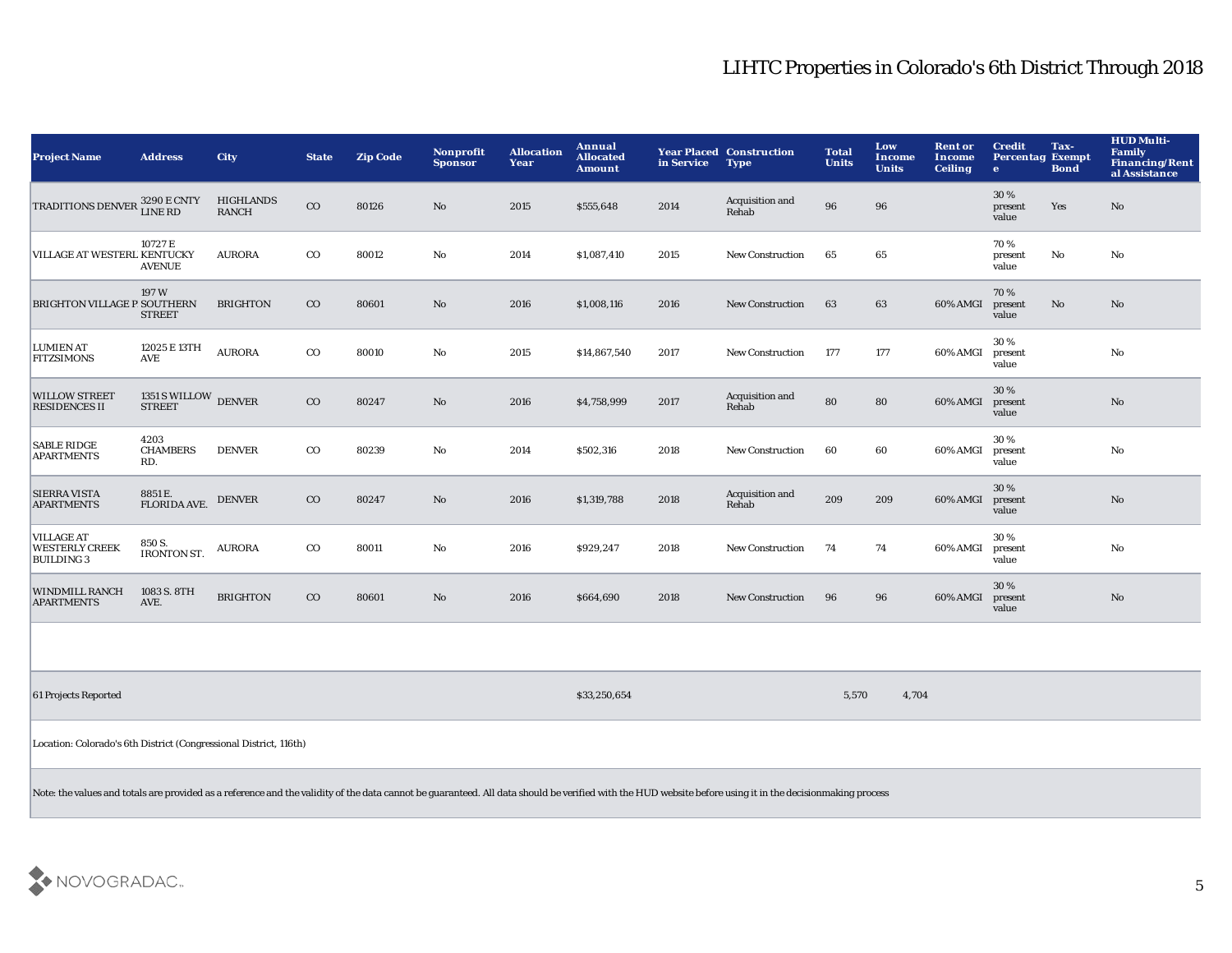| <b>Project Name</b>                                                                                                                                                                                       | <b>Address</b>                        | City                             | <b>State</b> | <b>Zip Code</b> | <b>Nonprofit</b><br><b>Sponsor</b> | <b>Allocation</b><br>Year | Annual<br><b>Allocated</b><br><b>Amount</b> | in Service | <b>Year Placed Construction</b><br><b>Type</b> | <b>Total</b><br><b>Units</b> | Low<br>Income<br><b>Units</b> | <b>Rent or</b><br><b>Income</b><br><b>Ceiling</b> | <b>Credit</b><br><b>Percentag Exempt</b><br>$\bullet$ | Tax-<br><b>Bond</b>    | <b>HUD Multi-</b><br>Family<br><b>Financing/Rent</b><br>al Assistance |
|-----------------------------------------------------------------------------------------------------------------------------------------------------------------------------------------------------------|---------------------------------------|----------------------------------|--------------|-----------------|------------------------------------|---------------------------|---------------------------------------------|------------|------------------------------------------------|------------------------------|-------------------------------|---------------------------------------------------|-------------------------------------------------------|------------------------|-----------------------------------------------------------------------|
| <b>TRADITIONS DENVER</b>                                                                                                                                                                                  | <b>3290 E CNTY</b><br><b>LINE RD</b>  | <b>HIGHLANDS</b><br><b>RANCH</b> | $_{\rm CO}$  | 80126           | $\mathbf{N}\mathbf{o}$             | 2015                      | \$555,648                                   | 2014       | Acquisition and<br>Rehab                       | 96                           | 96                            |                                                   | 30%<br>present<br>value                               | Yes                    | $\mathbf{N}\mathbf{o}$                                                |
| VILLAGE AT WESTERL KENTUCKY                                                                                                                                                                               | 10727 E<br><b>AVENUE</b>              | <b>AURORA</b>                    | $_{\rm CO}$  | 80012           | No                                 | 2014                      | \$1,087,410                                 | 2015       | <b>New Construction</b>                        | 65                           | 65                            |                                                   | 70%<br>present<br>value                               | $\mathbf{N}\mathbf{o}$ | No                                                                    |
| BRIGHTON VILLAGE P SOUTHERN                                                                                                                                                                               | 197 W<br><b>STREET</b>                | <b>BRIGHTON</b>                  | $_{\rm CO}$  | 80601           | No                                 | 2016                      | \$1,008,116                                 | 2016       | <b>New Construction</b>                        | 63                           | 63                            | 60% AMGI                                          | 70%<br>present<br>value                               | $\mathbf{No}$          | No                                                                    |
| <b>LUMIEN AT</b><br><b>FITZSIMONS</b>                                                                                                                                                                     | 12025 E 13TH<br><b>AVE</b>            | <b>AURORA</b>                    | $_{\rm CO}$  | 80010           | No                                 | 2015                      | \$14,867,540                                | 2017       | <b>New Construction</b>                        | 177                          | 177                           | 60% AMGI                                          | 30%<br>present<br>value                               |                        | $\mathbf{N}\mathbf{o}$                                                |
| <b>WILLOW STREET</b><br><b>RESIDENCES II</b>                                                                                                                                                              | 1351 S WILLOW DENVER<br><b>STREET</b> |                                  | $_{\rm CO}$  | 80247           | No                                 | 2016                      | \$4,758,999                                 | 2017       | Acquisition and<br>Rehab                       | 80                           | 80                            | 60% AMGI                                          | 30%<br>present<br>value                               |                        | No                                                                    |
| <b>SABLE RIDGE</b><br><b>APARTMENTS</b>                                                                                                                                                                   | 4203<br><b>CHAMBERS</b><br>RD.        | <b>DENVER</b>                    | $_{\rm CO}$  | 80239           | No                                 | 2014                      | \$502,316                                   | 2018       | New Construction                               | 60                           | 60                            | 60% AMGI                                          | 30%<br>present<br>value                               |                        | No                                                                    |
| <b>SIERRA VISTA</b><br><b>APARTMENTS</b>                                                                                                                                                                  | 8851 E.<br><b>FLORIDA AVE.</b>        | <b>DENVER</b>                    | $_{\rm CO}$  | 80247           | No                                 | 2016                      | \$1,319,788                                 | 2018       | Acquisition and<br>Rehab                       | 209                          | 209                           | 60% AMGI                                          | 30 %<br>present<br>value                              |                        | No                                                                    |
| <b>VILLAGE AT</b><br><b>WESTERLY CREEK</b><br><b>BUILDING 3</b>                                                                                                                                           | 850 S.<br><b>IRONTON ST.</b>          | <b>AURORA</b>                    | $_{\rm CO}$  | 80011           | $\rm No$                           | 2016                      | \$929,247                                   | 2018       | New Construction                               | 74                           | 74                            | 60% AMGI                                          | 30%<br>present<br>value                               |                        | $\mathbf {No}$                                                        |
| <b>WINDMILL RANCH</b><br><b>APARTMENTS</b>                                                                                                                                                                | 1083 S. 8TH<br>AVE.                   | <b>BRIGHTON</b>                  | $_{\rm CO}$  | 80601           | No                                 | 2016                      | \$664,690                                   | 2018       | <b>New Construction</b>                        | 96                           | 96                            | 60% AMGI                                          | 30%<br>present<br>value                               |                        | No                                                                    |
|                                                                                                                                                                                                           |                                       |                                  |              |                 |                                    |                           |                                             |            |                                                |                              |                               |                                                   |                                                       |                        |                                                                       |
| 61 Projects Reported                                                                                                                                                                                      |                                       |                                  |              |                 |                                    |                           | \$33,250,654                                |            |                                                | 5,570                        | 4,704                         |                                                   |                                                       |                        |                                                                       |
| Location: Colorado's 6th District (Congressional District, 116th)                                                                                                                                         |                                       |                                  |              |                 |                                    |                           |                                             |            |                                                |                              |                               |                                                   |                                                       |                        |                                                                       |
| Note: the values and totals are provided as a reference and the validity of the data cannot be guaranteed. All data should be verified with the HUD website before using it in the decisionmaking process |                                       |                                  |              |                 |                                    |                           |                                             |            |                                                |                              |                               |                                                   |                                                       |                        |                                                                       |